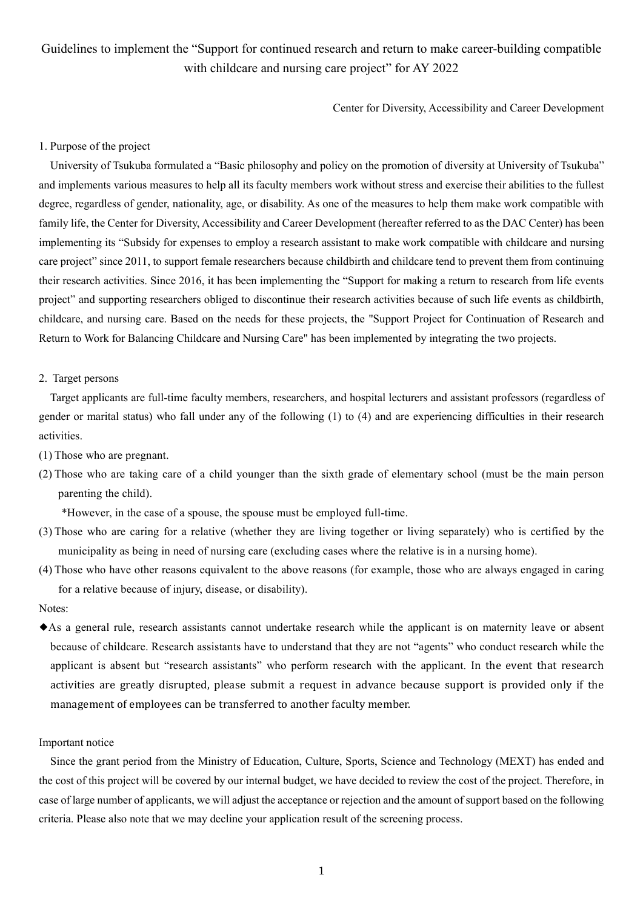# Guidelines to implement the "Support for continued research and return to make career-building compatible with childcare and nursing care project" for AY 2022

Center for Diversity, Accessibility and Career Development

## 1. Purpose of the project

University of Tsukuba formulated a "Basic philosophy and policy on the promotion of diversity at University of Tsukuba" and implements various measures to help all its faculty members work without stress and exercise their abilities to the fullest degree, regardless of gender, nationality, age, or disability. As one of the measures to help them make work compatible with family life, the Center for Diversity, Accessibility and Career Development (hereafter referred to as the DAC Center) has been implementing its "Subsidy for expenses to employ a research assistant to make work compatible with childcare and nursing care project" since 2011, to support female researchers because childbirth and childcare tend to prevent them from continuing their research activities. Since 2016, it has been implementing the "Support for making a return to research from life events project" and supporting researchers obliged to discontinue their research activities because of such life events as childbirth, childcare, and nursing care. Based on the needs for these projects, the "Support Project for Continuation of Research and Return to Work for Balancing Childcare and Nursing Care" has been implemented by integrating the two projects.

#### 2. Target persons

Target applicants are full-time faculty members, researchers, and hospital lecturers and assistant professors (regardless of gender or marital status) who fall under any of the following (1) to (4) and are experiencing difficulties in their research activities.

- (1) Those who are pregnant.
- (2) Those who are taking care of a child younger than the sixth grade of elementary school (must be the main person parenting the child).

\*However, in the case of a spouse, the spouse must be employed full-time.

- (3) Those who are caring for a relative (whether they are living together or living separately) who is certified by the municipality as being in need of nursing care (excluding cases where the relative is in a nursing home).
- (4) Those who have other reasons equivalent to the above reasons (for example, those who are always engaged in caring for a relative because of injury, disease, or disability).

Notes:

◆As a general rule, research assistants cannot undertake research while the applicant is on maternity leave or absent because of childcare. Research assistants have to understand that they are not "agents" who conduct research while the applicant is absent but "research assistants" who perform research with the applicant. In the event that research activities are greatly disrupted, please submit a request in advance because support is provided only if the management of employees can be transferred to another faculty member.

#### Important notice

Since the grant period from the Ministry of Education, Culture, Sports, Science and Technology (MEXT) has ended and the cost of this project will be covered by our internal budget, we have decided to review the cost of the project. Therefore, in case of large number of applicants, we will adjust the acceptance or rejection and the amount of support based on the following criteria. Please also note that we may decline your application result of the screening process.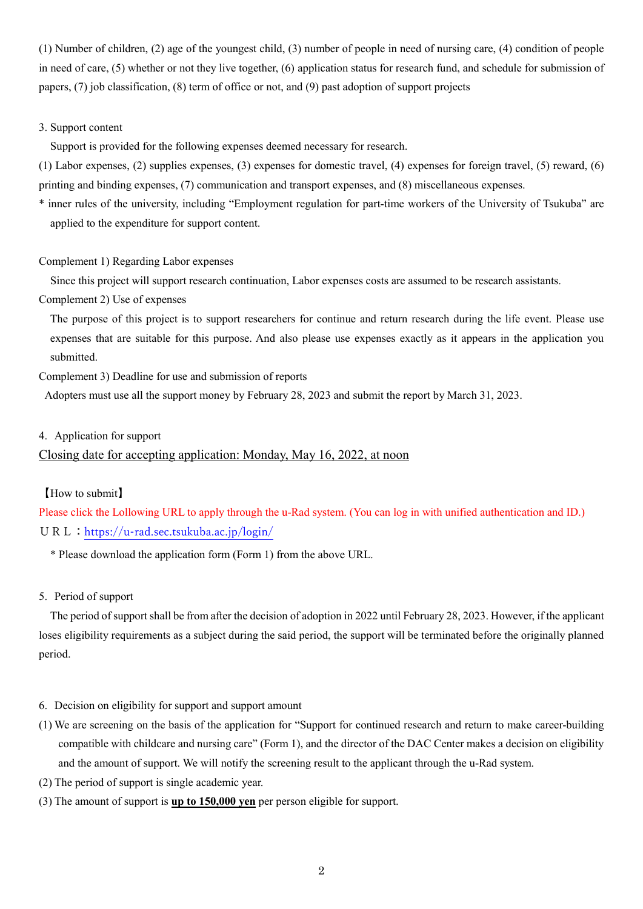(1) Number of children, (2) age of the youngest child, (3) number of people in need of nursing care, (4) condition of people in need of care, (5) whether or not they live together, (6) application status for research fund, and schedule for submission of papers, (7) job classification, (8) term of office or not, and (9) past adoption of support projects

### 3. Support content

Support is provided for the following expenses deemed necessary for research.

(1) Labor expenses, (2) supplies expenses, (3) expenses for domestic travel, (4) expenses for foreign travel, (5) reward, (6) printing and binding expenses, (7) communication and transport expenses, and (8) miscellaneous expenses.

\* inner rules of the university, including "Employment regulation for part-time workers of the University of Tsukuba" are applied to the expenditure for support content.

#### Complement 1) Regarding Labor expenses

Since this project will support research continuation, Labor expenses costs are assumed to be research assistants.

Complement 2) Use of expenses

The purpose of this project is to support researchers for continue and return research during the life event. Please use expenses that are suitable for this purpose. And also please use expenses exactly as it appears in the application you submitted.

Complement 3) Deadline for use and submission of reports

Adopters must use all the support money by February 28, 2023 and submit the report by March 31, 2023.

#### 4. Application for support

# Closing date for accepting application: Monday, May 16, 2022, at noon

### 【How to submit】

Please click the Lollowing URL to apply through the u-Rad system. (You can log in with unified authentication and ID.) URL:<https://u-rad.sec.tsukuba.ac.jp/login/>

\* Please download the application form (Form 1) from the above URL.

5. Period of support

The period of support shall be from after the decision of adoption in 2022 until February 28, 2023. However, if the applicant loses eligibility requirements as a subject during the said period, the support will be terminated before the originally planned period.

- 6. Decision on eligibility for support and support amount
- (1) We are screening on the basis of the application for "Support for continued research and return to make career-building compatible with childcare and nursing care" (Form 1), and the director of the DAC Center makes a decision on eligibility and the amount of support. We will notify the screening result to the applicant through the u-Rad system.
- (2) The period of support is single academic year.
- (3) The amount of support is **up to 150,000 yen** per person eligible for support.